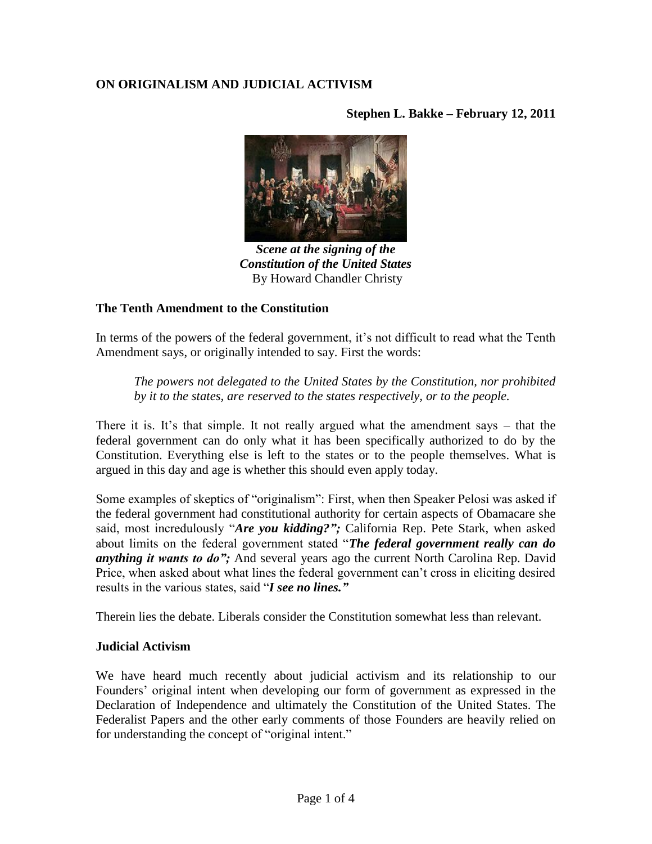# **ON ORIGINALISM AND JUDICIAL ACTIVISM**

**Stephen L. Bakke – February 12, 2011**



*Scene at the signing of the Constitution of the United States* By Howard Chandler Christy

## **The Tenth Amendment to the Constitution**

In terms of the powers of the federal government, it's not difficult to read what the Tenth Amendment says, or originally intended to say. First the words:

*The powers not delegated to the United States by the Constitution, nor prohibited by it to the states, are reserved to the states respectively, or to the people.*

There it is. It's that simple. It not really argued what the amendment says  $-$  that the federal government can do only what it has been specifically authorized to do by the Constitution. Everything else is left to the states or to the people themselves. What is argued in this day and age is whether this should even apply today.

Some examples of skeptics of "originalism": First, when then Speaker Pelosi was asked if the federal government had constitutional authority for certain aspects of Obamacare she said, most incredulously "*Are you kidding?";* California Rep. Pete Stark, when asked about limits on the federal government stated "*The federal government really can do anything it wants to do";* And several years ago the current North Carolina Rep. David Price, when asked about what lines the federal government can't cross in eliciting desired results in the various states, said "*I see no lines."*

Therein lies the debate. Liberals consider the Constitution somewhat less than relevant.

#### **Judicial Activism**

We have heard much recently about judicial activism and its relationship to our Founders" original intent when developing our form of government as expressed in the Declaration of Independence and ultimately the Constitution of the United States. The Federalist Papers and the other early comments of those Founders are heavily relied on for understanding the concept of "original intent."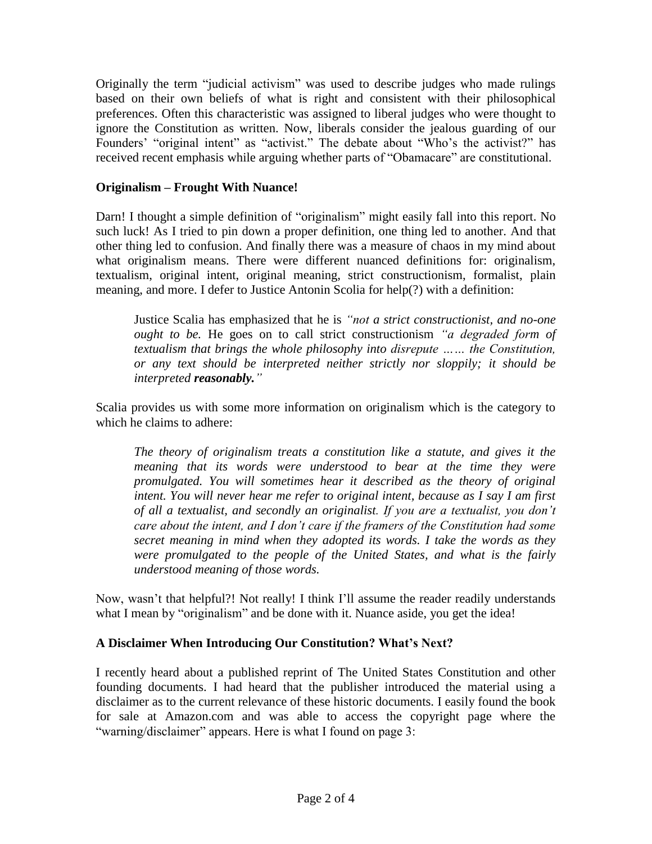Originally the term "judicial activism" was used to describe judges who made rulings based on their own beliefs of what is right and consistent with their philosophical preferences. Often this characteristic was assigned to liberal judges who were thought to ignore the Constitution as written. Now, liberals consider the jealous guarding of our Founders' "original intent" as "activist." The debate about "Who's the activist?" has received recent emphasis while arguing whether parts of "Obamacare" are constitutional.

## **Originalism – Frought With Nuance!**

Darn! I thought a simple definition of "originalism" might easily fall into this report. No such luck! As I tried to pin down a proper definition, one thing led to another. And that other thing led to confusion. And finally there was a measure of chaos in my mind about what originalism means. There were different nuanced definitions for: originalism, textualism, original intent, original meaning, strict constructionism, formalist, plain meaning, and more. I defer to Justice Antonin Scolia for help(?) with a definition:

Justice Scalia has emphasized that he is *"not a strict constructionist, and no-one ought to be.* He goes on to call strict constructionism *"a degraded form of textualism that brings the whole philosophy into disrepute …… the Constitution, or any text should be interpreted neither strictly nor sloppily; it should be interpreted reasonably."*

Scalia provides us with some more information on originalism which is the category to which he claims to adhere:

*The theory of originalism treats a constitution like a statute, and gives it the meaning that its words were understood to bear at the time they were promulgated. You will sometimes hear it described as the theory of original intent. You will never hear me refer to original intent, because as I say I am first of all a textualist, and secondly an originalist. If you are a textualist, you don"t care about the intent, and I don"t care if the framers of the Constitution had some secret meaning in mind when they adopted its words. I take the words as they were promulgated to the people of the United States, and what is the fairly understood meaning of those words.*

Now, wasn"t that helpful?! Not really! I think I"ll assume the reader readily understands what I mean by "originalism" and be done with it. Nuance aside, you get the idea!

#### **A Disclaimer When Introducing Our Constitution? What's Next?**

I recently heard about a published reprint of The United States Constitution and other founding documents. I had heard that the publisher introduced the material using a disclaimer as to the current relevance of these historic documents. I easily found the book for sale at Amazon.com and was able to access the copyright page where the "warning/disclaimer" appears. Here is what I found on page 3: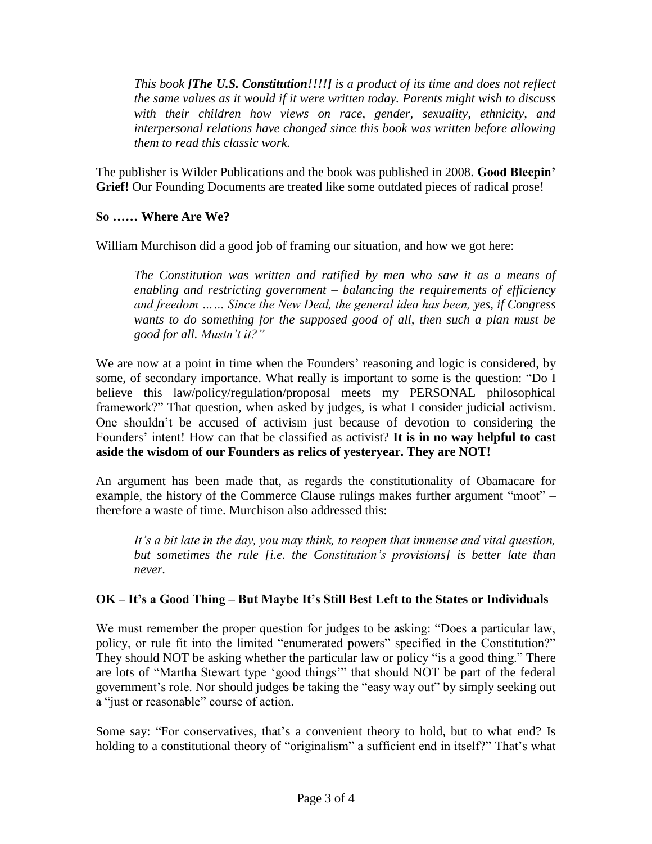*This book [The U.S. Constitution!!!!] is a product of its time and does not reflect the same values as it would if it were written today. Parents might wish to discuss with their children how views on race, gender, sexuality, ethnicity, and interpersonal relations have changed since this book was written before allowing them to read this classic work.*

The publisher is Wilder Publications and the book was published in 2008. **Good Bleepin' Grief!** Our Founding Documents are treated like some outdated pieces of radical prose!

## **So …… Where Are We?**

William Murchison did a good job of framing our situation, and how we got here:

*The Constitution was written and ratified by men who saw it as a means of enabling and restricting government – balancing the requirements of efficiency and freedom …… Since the New Deal, the general idea has been, yes, if Congress wants to do something for the supposed good of all, then such a plan must be good for all. Mustn"t it?"*

We are now at a point in time when the Founders' reasoning and logic is considered, by some, of secondary importance. What really is important to some is the question: "Do I believe this law/policy/regulation/proposal meets my PERSONAL philosophical framework?" That question, when asked by judges, is what I consider judicial activism. One shouldn"t be accused of activism just because of devotion to considering the Founders" intent! How can that be classified as activist? **It is in no way helpful to cast aside the wisdom of our Founders as relics of yesteryear. They are NOT!**

An argument has been made that, as regards the constitutionality of Obamacare for example, the history of the Commerce Clause rulings makes further argument "moot" – therefore a waste of time. Murchison also addressed this:

*It"s a bit late in the day, you may think, to reopen that immense and vital question, but sometimes the rule [i.e. the Constitution"s provisions] is better late than never.*

## **OK – It's a Good Thing – But Maybe It's Still Best Left to the States or Individuals**

We must remember the proper question for judges to be asking: "Does a particular law, policy, or rule fit into the limited "enumerated powers" specified in the Constitution?" They should NOT be asking whether the particular law or policy "is a good thing." There are lots of "Martha Stewart type "good things"" that should NOT be part of the federal government's role. Nor should judges be taking the "easy way out" by simply seeking out a "just or reasonable" course of action.

Some say: "For conservatives, that's a convenient theory to hold, but to what end? Is holding to a constitutional theory of "originalism" a sufficient end in itself?" That's what